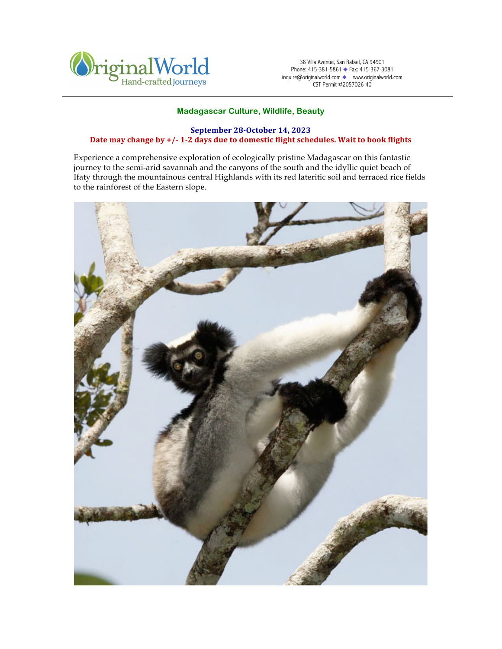

38 Villa Avenue, San Rafael, CA 94901 Phone: 415-381-5861 ◆ Fax: 415-367-3081 inquire@originalworld.com ◆ www.originalworld.com CST Permit #2057026-40

# **Madagascar Culture, Wildlife, Beauty**

# **September 28-October 14, 2023** Date may change by  $+/-1$ -2 days due to domestic flight schedules. Wait to book flights

Experience a comprehensive exploration of ecologically pristine Madagascar on this fantastic journey to the semi-arid savannah and the canyons of the south and the idyllic quiet beach of Ifaty through the mountainous central Highlands with its red lateritic soil and terraced rice fields to the rainforest of the Eastern slope.

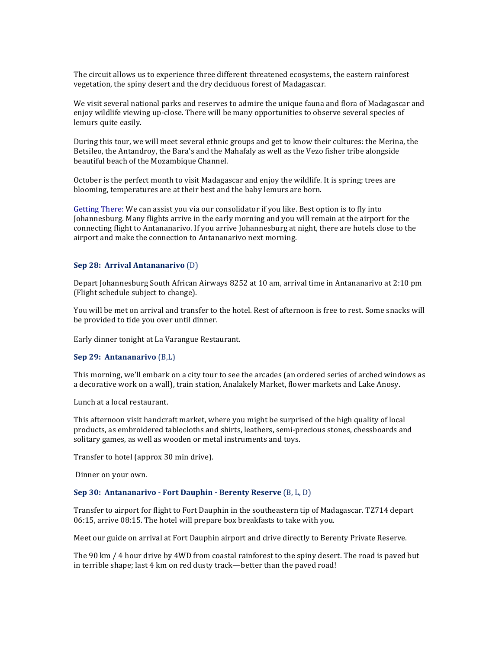The circuit allows us to experience three different threatened ecosystems, the eastern rainforest vegetation, the spiny desert and the dry deciduous forest of Madagascar.

We visit several national parks and reserves to admire the unique fauna and flora of Madagascar and enjoy wildlife viewing up-close. There will be many opportunities to observe several species of lemurs quite easily.

During this tour, we will meet several ethnic groups and get to know their cultures: the Merina, the Betsileo, the Antandroy, the Bara's and the Mahafaly as well as the Vezo fisher tribe alongside beautiful beach of the Mozambique Channel.

October is the perfect month to visit Madagascar and enjoy the wildlife. It is spring; trees are blooming, temperatures are at their best and the baby lemurs are born.

Getting There: We can assist you via our consolidator if you like. Best option is to fly into Johannesburg. Many flights arrive in the early morning and you will remain at the airport for the connecting flight to Antananarivo. If you arrive Johannesburg at night, there are hotels close to the airport and make the connection to Antananarivo next morning.

### **Sep 28: Arrival Antananarivo** (D)

Depart Johannesburg South African Airways 8252 at 10 am, arrival time in Antananarivo at 2:10 pm (Flight schedule subject to change).

You will be met on arrival and transfer to the hotel. Rest of afternoon is free to rest. Some snacks will be provided to tide you over until dinner.

Early dinner tonight at La Varangue Restaurant.

### **Sep 29: Antananarivo** (B,L)

This morning, we'll embark on a city tour to see the arcades (an ordered series of arched windows as a decorative work on a wall), train station, Analakely Market, flower markets and Lake Anosy.

Lunch at a local restaurant.

This afternoon visit handcraft market, where you might be surprised of the high quality of local products, as embroidered tablecloths and shirts, leathers, semi-precious stones, chessboards and solitary games, as well as wooden or metal instruments and toys.

Transfer to hotel (approx 30 min drive).

Dinner on your own.

#### **Sep 30: Antananarivo - Fort Dauphin - Berenty Reserve** (B, L, D)

Transfer to airport for flight to Fort Dauphin in the southeastern tip of Madagascar. TZ714 depart 06:15, arrive 08:15. The hotel will prepare box breakfasts to take with you.

Meet our guide on arrival at Fort Dauphin airport and drive directly to Berenty Private Reserve.

The 90 km / 4 hour drive by 4WD from coastal rainforest to the spiny desert. The road is paved but in terrible shape; last 4 km on red dusty track—better than the paved road!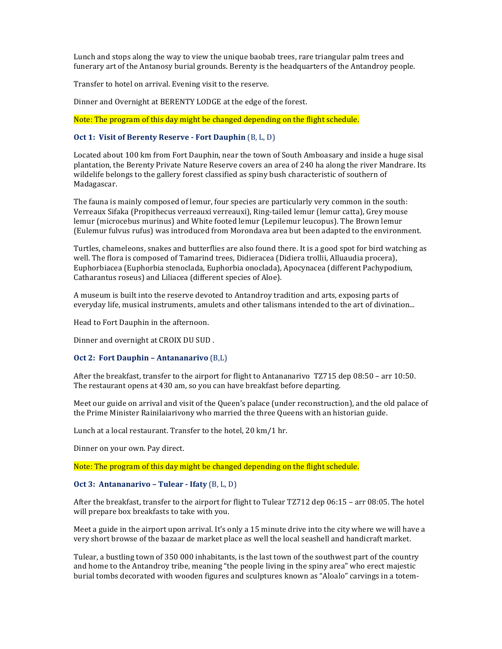Lunch and stops along the way to view the unique baobab trees, rare triangular palm trees and funerary art of the Antanosy burial grounds. Berenty is the headquarters of the Antandroy people.

Transfer to hotel on arrival. Evening visit to the reserve.

Dinner and Overnight at BERENTY LODGE at the edge of the forest.

Note: The program of this day might be changed depending on the flight schedule.

# **Oct 1: Visit of Berenty Reserve - Fort Dauphin** (B, L, D)

Located about 100 km from Fort Dauphin, near the town of South Amboasary and inside a huge sisal plantation, the Berenty Private Nature Reserve covers an area of 240 ha along the river Mandrare. Its wildelife belongs to the gallery forest classified as spiny bush characteristic of southern of Madagascar. 

The fauna is mainly composed of lemur, four species are particularly very common in the south: Verreaux Sifaka (Propithecus verreauxi verreauxi), Ring-tailed lemur (lemur catta), Grey mouse lemur (microcebus murinus) and White footed lemur (Lepilemur leucopus). The Brown lemur (Eulemur fulvus rufus) was introduced from Morondava area but been adapted to the environment.

Turtles, chameleons, snakes and butterflies are also found there. It is a good spot for bird watching as well. The flora is composed of Tamarind trees, Didieracea (Didiera trollii, Alluaudia procera), Euphorbiacea (Euphorbia stenoclada, Euphorbia onoclada), Apocynacea (different Pachypodium, Catharantus roseus) and Liliacea (different species of Aloe).

A museum is built into the reserve devoted to Antandroy tradition and arts, exposing parts of everyday life, musical instruments, amulets and other talismans intended to the art of divination...

Head to Fort Dauphin in the afternoon.

Dinner and overnight at CROIX DU SUD.

## **Oct 2: Fort Dauphin - Antananarivo** (B,L)

After the breakfast, transfer to the airport for flight to Antananarivo TZ715 dep  $08:50$  – arr 10:50. The restaurant opens at 430 am, so you can have breakfast before departing.

Meet our guide on arrival and visit of the Queen's palace (under reconstruction), and the old palace of the Prime Minister Rainilaiarivony who married the three Queens with an historian guide.

Lunch at a local restaurant. Transfer to the hotel, 20 km/1 hr.

Dinner on your own. Pay direct.

Note: The program of this day might be changed depending on the flight schedule.

### **Oct 3: Antananarivo – Tulear - Ifaty** (B, L, D)

After the breakfast, transfer to the airport for flight to Tulear TZ712 dep  $06:15$  – arr 08:05. The hotel will prepare box breakfasts to take with you.

Meet a guide in the airport upon arrival. It's only a 15 minute drive into the city where we will have a very short browse of the bazaar de market place as well the local seashell and handicraft market.

Tulear, a bustling town of 350 000 inhabitants, is the last town of the southwest part of the country and home to the Antandroy tribe, meaning "the people living in the spiny area" who erect majestic burial tombs decorated with wooden figures and sculptures known as "Aloalo" carvings in a totem-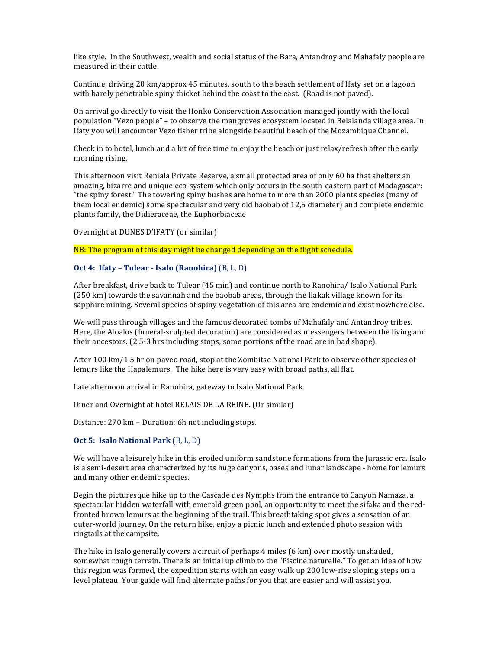like style. In the Southwest, wealth and social status of the Bara, Antandroy and Mahafaly people are measured in their cattle.

Continue, driving 20 km/approx 45 minutes, south to the beach settlement of Ifaty set on a lagoon with barely penetrable spiny thicket behind the coast to the east. (Road is not paved).

On arrival go directly to visit the Honko Conservation Association managed jointly with the local population "Vezo people" – to observe the mangroves ecosystem located in Belalanda village area. In Ifaty you will encounter Vezo fisher tribe alongside beautiful beach of the Mozambique Channel.

Check in to hotel, lunch and a bit of free time to enjoy the beach or just relax/refresh after the early morning rising.

This afternoon visit Reniala Private Reserve, a small protected area of only 60 ha that shelters an amazing, bizarre and unique eco-system which only occurs in the south-eastern part of Madagascar: "the spiny forest." The towering spiny bushes are home to more than 2000 plants species (many of them local endemic) some spectacular and very old baobab of 12,5 diameter) and complete endemic plants family, the Didieraceae, the Euphorbiaceae

Overnight at DUNES D'IFATY (or similar)

NB: The program of this day might be changed depending on the flight schedule.

## **Oct 4: Ifaty – Tulear - Isalo (Ranohira)** (B, L, D)

After breakfast, drive back to Tulear (45 min) and continue north to Ranohira/ Isalo National Park (250 km) towards the savannah and the baobab areas, through the Ilakak village known for its sapphire mining. Several species of spiny vegetation of this area are endemic and exist nowhere else.

We will pass through villages and the famous decorated tombs of Mahafaly and Antandroy tribes. Here, the Aloalos (funeral-sculpted decoration) are considered as messengers between the living and their ancestors.  $(2.5-3 \text{ hrs}$  including stops; some portions of the road are in bad shape).

After  $100 \text{ km}/1.5 \text{ hr}$  on paved road, stop at the Zombitse National Park to observe other species of lemurs like the Hapalemurs. The hike here is very easy with broad paths, all flat.

Late afternoon arrival in Ranohira, gateway to Isalo National Park.

Diner and Overnight at hotel RELAIS DE LA REINE. (Or similar)

Distance: 270 km - Duration: 6h not including stops.

### **Oct 5: Isalo National Park** (B, L, D)

We will have a leisurely hike in this eroded uniform sandstone formations from the Jurassic era. Isalo is a semi-desert area characterized by its huge canyons, oases and lunar landscape - home for lemurs and many other endemic species.

Begin the picturesque hike up to the Cascade des Nymphs from the entrance to Canyon Namaza, a spectacular hidden waterfall with emerald green pool, an opportunity to meet the sifaka and the redfronted brown lemurs at the beginning of the trail. This breathtaking spot gives a sensation of an outer-world journey. On the return hike, enjoy a picnic lunch and extended photo session with ringtails at the campsite.

The hike in Isalo generally covers a circuit of perhaps 4 miles (6 km) over mostly unshaded, somewhat rough terrain. There is an initial up climb to the "Piscine naturelle." To get an idea of how this region was formed, the expedition starts with an easy walk up 200 low-rise sloping steps on a level plateau. Your guide will find alternate paths for you that are easier and will assist you.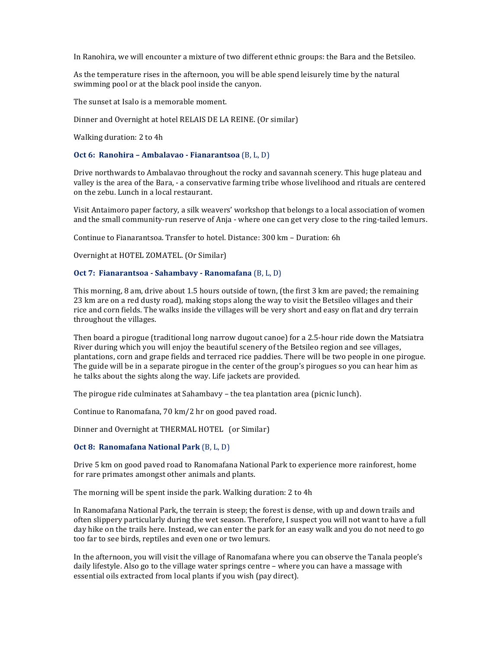In Ranohira, we will encounter a mixture of two different ethnic groups: the Bara and the Betsileo.

As the temperature rises in the afternoon, you will be able spend leisurely time by the natural swimming pool or at the black pool inside the canyon.

The sunset at Isalo is a memorable moment.

Dinner and Overnight at hotel RELAIS DE LA REINE. (Or similar)

Walking duration: 2 to 4h

#### **Oct 6: Ranohira - Ambalavao - Fianarantsoa** (B, L, D)

Drive northwards to Ambalavao throughout the rocky and savannah scenery. This huge plateau and valley is the area of the Bara, - a conservative farming tribe whose livelihood and rituals are centered on the zebu. Lunch in a local restaurant.

Visit Antaimoro paper factory, a silk weavers' workshop that belongs to a local association of women and the small community-run reserve of Anja - where one can get very close to the ring-tailed lemurs.

Continue to Fianarantsoa. Transfer to hotel. Distance: 300 km – Duration: 6h

Overnight at HOTEL ZOMATEL. (Or Similar)

### **Oct 7: Fianarantsoa - Sahambavy - Ranomafana** (B, L, D)

This morning,  $8$  am, drive about 1.5 hours outside of town, (the first  $3$  km are paved; the remaining 23 km are on a red dusty road), making stops along the way to visit the Betsileo villages and their rice and corn fields. The walks inside the villages will be very short and easy on flat and dry terrain throughout the villages.

Then board a pirogue (traditional long narrow dugout canoe) for a 2.5-hour ride down the Matsiatra River during which you will enjoy the beautiful scenery of the Betsileo region and see villages, plantations, corn and grape fields and terraced rice paddies. There will be two people in one pirogue. The guide will be in a separate pirogue in the center of the group's pirogues so you can hear him as he talks about the sights along the way. Life jackets are provided.

The pirogue ride culminates at Sahambavy  $-$  the tea plantation area (picnic lunch).

Continue to Ranomafana,  $70 \text{ km}/2$  hr on good paved road.

Dinner and Overnight at THERMAL HOTEL (or Similar)

## **Oct 8: Ranomafana National Park** (B, L, D)

Drive 5 km on good paved road to Ranomafana National Park to experience more rainforest, home for rare primates amongst other animals and plants.

The morning will be spent inside the park. Walking duration: 2 to 4h

In Ranomafana National Park, the terrain is steep; the forest is dense, with up and down trails and often slippery particularly during the wet season. Therefore, I suspect you will not want to have a full day hike on the trails here. Instead, we can enter the park for an easy walk and you do not need to go too far to see birds, reptiles and even one or two lemurs.

In the afternoon, you will visit the village of Ranomafana where you can observe the Tanala people's daily lifestyle. Also go to the village water springs centre – where you can have a massage with essential oils extracted from local plants if you wish (pay direct).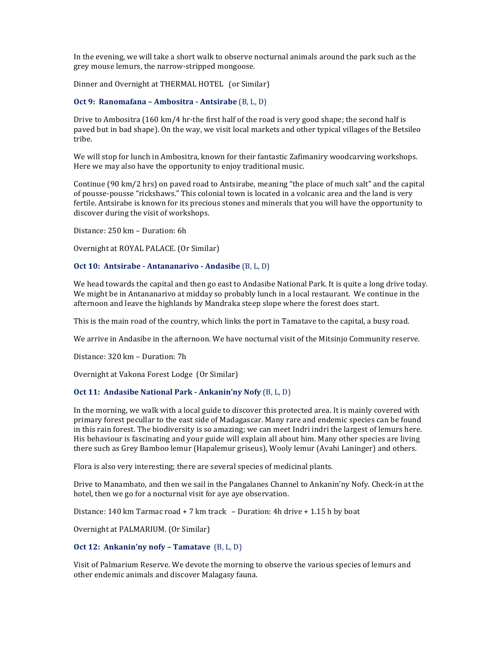In the evening, we will take a short walk to observe nocturnal animals around the park such as the grey mouse lemurs, the narrow-stripped mongoose.

Dinner and Overnight at THERMAL HOTEL (or Similar)

## **Oct 9: Ranomafana – Ambositra - Antsirabe** (B, L, D)

Drive to Ambositra  $(160 \text{ km}/4 \text{ hr-the first half of the road is very good shape; the second half is$ paved but in bad shape). On the way, we visit local markets and other typical villages of the Betsileo tribe.

We will stop for lunch in Ambositra, known for their fantastic Zafimaniry woodcarving workshops. Here we may also have the opportunity to enjoy traditional music.

Continue  $(90 \text{ km}/2 \text{ hrs})$  on paved road to Antsirabe, meaning "the place of much salt" and the capital of pousse-pousse "rickshaws." This colonial town is located in a volcanic area and the land is very fertile. Antsirabe is known for its precious stones and minerals that you will have the opportunity to discover during the visit of workshops.

Distance: 250 km - Duration: 6h

Overnight at ROYAL PALACE. (Or Similar)

## **Oct 10: Antsirabe - Antananarivo - Andasibe** (B, L, D)

We head towards the capital and then go east to Andasibe National Park. It is quite a long drive today. We might be in Antananarivo at midday so probably lunch in a local restaurant. We continue in the afternoon and leave the highlands by Mandraka steep slope where the forest does start.

This is the main road of the country, which links the port in Tamatave to the capital, a busy road.

We arrive in Andasibe in the afternoon. We have nocturnal visit of the Mitsinjo Community reserve.

Distance: 320 km - Duration: 7h

Overnight at Vakona Forest Lodge (Or Similar)

## **Oct 11: Andasibe National Park - Ankanin'ny Nofy** (B, L, D)

In the morning, we walk with a local guide to discover this protected area. It is mainly covered with primary forest pecullar to the east side of Madagascar. Many rare and endemic species can be found in this rain forest. The biodiversity is so amazing; we can meet Indri indri the largest of lemurs here. His behaviour is fascinating and your guide will explain all about him. Many other species are living there such as Grey Bamboo lemur (Hapalemur griseus), Wooly lemur (Avahi Laninger) and others.

Flora is also very interesting; there are several species of medicinal plants.

Drive to Manambato, and then we sail in the Pangalanes Channel to Ankanin'ny Nofy. Check-in at the hotel, then we go for a nocturnal visit for aye aye observation.

Distance: 140 km Tarmac road + 7 km track  $-$  Duration: 4h drive + 1.15 h by boat

Overnight at PALMARIUM. (Or Similar)

## **Oct 12: Ankanin'ny nofy – Tamatave** (B, L, D)

Visit of Palmarium Reserve. We devote the morning to observe the various species of lemurs and other endemic animals and discover Malagasy fauna.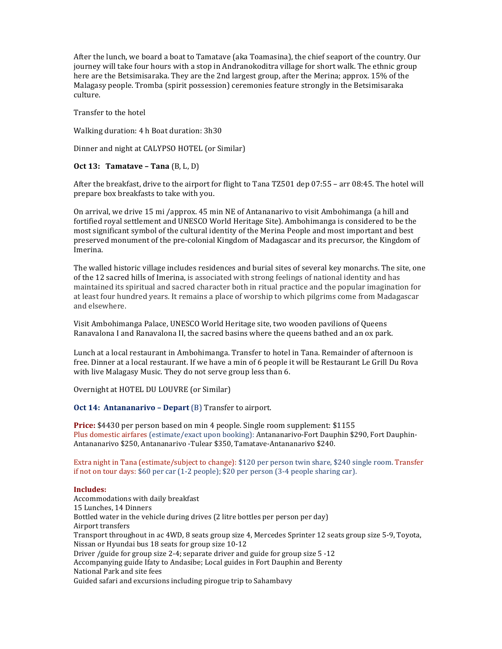After the lunch, we board a boat to Tamatave (aka Toamasina), the chief seaport of the country. Our journey will take four hours with a stop in Andranokoditra village for short walk. The ethnic group here are the Betsimisaraka. They are the 2nd largest group, after the Merina; approx. 15% of the Malagasy people. Tromba (spirit possession) ceremonies feature strongly in the Betsimisaraka culture.

Transfer to the hotel

Walking duration: 4 h Boat duration: 3h30

Dinner and night at CALYPSO HOTEL (or Similar)

## **Oct 13: Tamatave – Tana** (B, L, D)

After the breakfast, drive to the airport for flight to Tana TZ501 dep 07:55 – arr 08:45. The hotel will prepare box breakfasts to take with you.

On arrival, we drive 15 mi /approx. 45 min NE of Antananarivo to visit Ambohimanga (a hill and fortified royal settlement and UNESCO World Heritage Site). Ambohimanga is considered to be the most significant symbol of the cultural identity of the Merina People and most important and best preserved monument of the pre-colonial Kingdom of Madagascar and its precursor, the Kingdom of Imerina.

The walled historic village includes residences and burial sites of several key monarchs. The site, one of the 12 sacred hills of Imerina, is associated with strong feelings of national identity and has maintained its spiritual and sacred character both in ritual practice and the popular imagination for at least four hundred years. It remains a place of worship to which pilgrims come from Madagascar and elsewhere.

Visit Ambohimanga Palace, UNESCO World Heritage site, two wooden pavilions of Queens Ranavalona I and Ranavalona II, the sacred basins where the queens bathed and an ox park.

Lunch at a local restaurant in Ambohimanga. Transfer to hotel in Tana. Remainder of afternoon is free. Dinner at a local restaurant. If we have a min of 6 people it will be Restaurant Le Grill Du Rova with live Malagasy Music. They do not serve group less than 6.

Overnight at HOTEL DU LOUVRE (or Similar)

**Oct 14: Antananarivo - Depart** (B) Transfer to airport.

**Price:** \$4430 per person based on min 4 people. Single room supplement: \$1155 Plus domestic airfares (estimate/exact upon booking): Antananarivo-Fort Dauphin \$290, Fort Dauphin-Antananarivo \$250, Antananarivo -Tulear \$350, Tamatave-Antananarivo \$240.

Extra night in Tana (estimate/subject to change): \$120 per person twin share, \$240 single room. Transfer if not on tour days:  $$60$  per car  $(1-2)$  people);  $$20$  per person  $(3-4)$  people sharing car).

### **Includes:**

Accommodations with daily breakfast 15 Lunches, 14 Dinners Bottled water in the vehicle during drives (2 litre bottles per person per day) Airport transfers Transport throughout in ac 4WD, 8 seats group size 4, Mercedes Sprinter 12 seats group size 5-9, Toyota, Nissan or Hyundai bus 18 seats for group size 10-12 Driver /guide for group size 2-4; separate driver and guide for group size  $5 - 12$ Accompanying guide Ifaty to Andasibe; Local guides in Fort Dauphin and Berenty National Park and site fees Guided safari and excursions including pirogue trip to Sahambavy